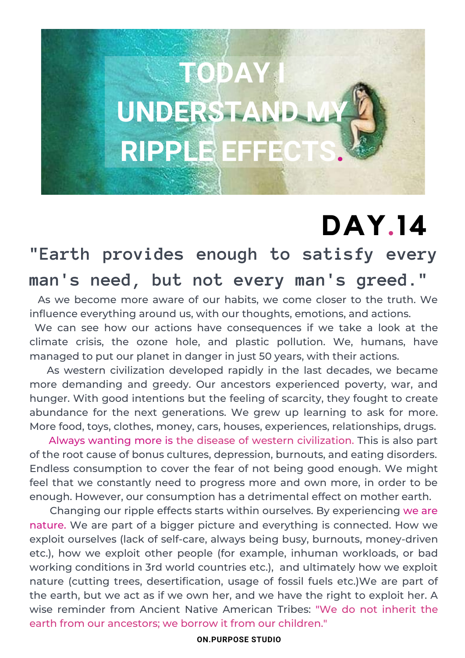# **TODAY I UNDERSTAND MY RIPPLE EFFEC**

### **DAY.14**

### **"Earth provides enough to satisfy every man's need, but not every man's greed."**

As we become more aware of our habits, we come closer to the truth. We influence everything around us, with our thoughts, emotions, and actions.

We can see how our actions have consequences if we take a look at the climate crisis, the ozone hole, and plastic pollution. We, humans, have managed to put our planet in danger in just 50 years, with their actions.

As western civilization developed rapidly in the last decades, we became more demanding and greedy. Our ancestors experienced poverty, war, and hunger. With good intentions but the feeling of scarcity, they fought to create abundance for the next generations. We grew up learning to ask for more. More food, toys, clothes, money, cars, houses, experiences, relationships, drugs.

Always wanting more is the disease of western civilization. This is also part of the root cause of bonus cultures, depression, burnouts, and eating disorders. Endless consumption to cover the fear of not being good enough. We might feel that we constantly need to progress more and own more, in order to be enough. However, our consumption has a detrimental effect on mother earth.

Changing our ripple effects starts within ourselves. By experiencing we are nature. We are part of a bigger picture and everything is connected. How we exploit ourselves (lack of self-care, always being busy, burnouts, money-driven etc.), how we exploit other people (for example, inhuman workloads, or bad working conditions in 3rd world countries etc.), and ultimately how we exploit nature (cutting trees, desertification, usage of fossil fuels etc.)We are part of the earth, but we act as if we own her, and we have the right to exploit her. A wise reminder from Ancient Native American Tribes: "We do not inherit the earth from our ancestors; we borrow it from our children."

**ON.PURPOSE STUDIO**